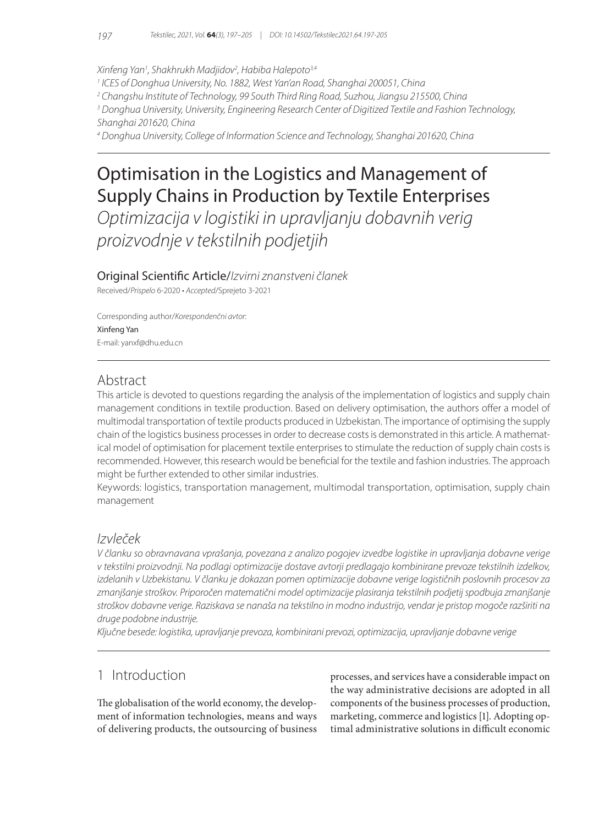#### *Xinfeng Yan1 , Shakhrukh Madjidov2 , Habiba Halepoto3,4*

*1 ICES of Donghua University, No. 1882, West Yan'an Road, Shanghai 200051, China*

*2 Changshu Institute of Technology, 99 South Third Ring Road, Suzhou, Jiangsu 215500, China*

*3 Donghua University, University, Engineering Research Center of Digitized Textile and Fashion Technology, Shanghai 201620, China*

*4 Donghua University, College of Information Science and Technology, Shanghai 201620, China*

# Optimisation in the Logistics and Management of Supply Chains in Production by Textile Enterprises

*Optimizacija v logistiki in upravljanju dobavnih verig proizvodnje v tekstilnih podjetjih*

## Original Scientific Article/*Izvirni znanstveni članek*

Received/*Prispelo* 6-2020 • *Accepted*/Sprejeto 3-2021

Corresponding author/*Korespondenčni avtor*: Xinfeng Yan E-mail: yanxf@dhu.edu.cn

## Abstract

This article is devoted to questions regarding the analysis of the implementation of logistics and supply chain management conditions in textile production. Based on delivery optimisation, the authors offer a model of multimodal transportation of textile products produced in Uzbekistan. The importance of optimising the supply chain of the logistics business processes in order to decrease costs is demonstrated in this article. A mathematical model of optimisation for placement textile enterprises to stimulate the reduction of supply chain costs is recommended. However, this research would be beneficial for the textile and fashion industries. The approach might be further extended to other similar industries.

Keywords: logistics, transportation management, multimodal transportation, optimisation, supply chain management

## *Izvleček*

*V članku so obravnavana vprašanja, povezana z analizo pogojev izvedbe logistike in upravljanja dobavne verige v tekstilni proizvodnji. Na podlagi optimizacije dostave avtorji predlagajo kombinirane prevoze tekstilnih izdelkov, izdelanih v Uzbekistanu. V članku je dokazan pomen optimizacije dobavne verige logističnih poslovnih procesov za zmanjšanje stroškov. Priporočen matematični model optimizacije plasiranja tekstilnih podjetij spodbuja zmanjšanje stroškov dobavne verige. Raziskava se nanaša na tekstilno in modno industrijo, vendar je pristop mogoče razširiti na druge podobne industrije.*

*Ključne besede: logistika, upravljanje prevoza, kombinirani prevozi, optimizacija, upravljanje dobavne verige*

## 1 Introduction

The globalisation of the world economy, the development of information technologies, means and ways of delivering products, the outsourcing of business processes, and services have a considerable impact on the way administrative decisions are adopted in all components of the business processes of production, marketing, commerce and logistics [1]. Adopting optimal administrative solutions in difficult economic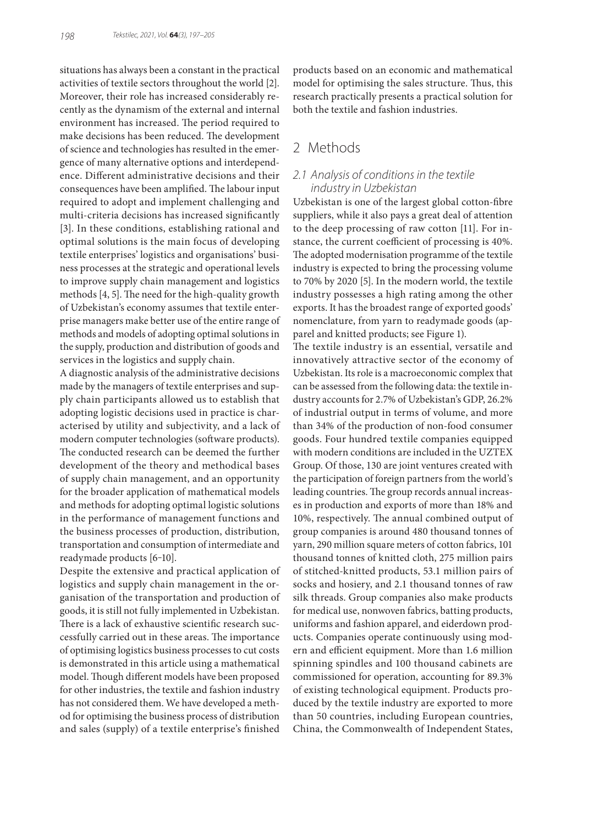situations has always been a constant in the practical activities of textile sectors throughout the world [2]. Moreover, their role has increased considerably recently as the dynamism of the external and internal environment has increased. The period required to make decisions has been reduced. The development of science and technologies has resulted in the emergence of many alternative options and interdependence. Different administrative decisions and their consequences have been amplified. The labour input required to adopt and implement challenging and multi-criteria decisions has increased significantly [3]. In these conditions, establishing rational and optimal solutions is the main focus of developing textile enterprises' logistics and organisations' business processes at the strategic and operational levels to improve supply chain management and logistics methods [4, 5]. The need for the high-quality growth of Uzbekistan's economy assumes that textile enterprise managers make better use of the entire range of methods and models of adopting optimal solutions in the supply, production and distribution of goods and services in the logistics and supply chain.

A diagnostic analysis of the administrative decisions made by the managers of textile enterprises and supply chain participants allowed us to establish that adopting logistic decisions used in practice is characterised by utility and subjectivity, and a lack of modern computer technologies (software products). The conducted research can be deemed the further development of the theory and methodical bases of supply chain management, and an opportunity for the broader application of mathematical models and methods for adopting optimal logistic solutions in the performance of management functions and the business processes of production, distribution, transportation and consumption of intermediate and readymade products [6-10].

Despite the extensive and practical application of logistics and supply chain management in the organisation of the transportation and production of goods, it is still not fully implemented in Uzbekistan. There is a lack of exhaustive scientific research successfully carried out in these areas. The importance of optimising logistics business processes to cut costs is demonstrated in this article using a mathematical model. Though different models have been proposed for other industries, the textile and fashion industry has not considered them. We have developed a method for optimising the business process of distribution and sales (supply) of a textile enterprise's finished

products based on an economic and mathematical model for optimising the sales structure. Thus, this research practically presents a practical solution for both the textile and fashion industries.

## 2 Methods

### *2.1 Analysis of conditions in the textile industry in Uzbekistan*

Uzbekistan is one of the largest global cotton-fibre suppliers, while it also pays a great deal of attention to the deep processing of raw cotton [11]. For instance, the current coefficient of processing is 40%. The adopted modernisation programme of the textile industry is expected to bring the processing volume to 70% by 2020 [5]. In the modern world, the textile industry possesses a high rating among the other exports. It has the broadest range of exported goods' nomenclature, from yarn to readymade goods (apparel and knitted products; see Figure 1).

The textile industry is an essential, versatile and innovatively attractive sector of the economy of Uzbekistan. Its role is a macroeconomic complex that can be assessed from the following data: the textile industry accounts for 2.7% of Uzbekistan's GDP, 26.2% of industrial output in terms of volume, and more than 34% of the production of non-food consumer goods. Four hundred textile companies equipped with modern conditions are included in the UZTEX Group. Of those, 130 are joint ventures created with the participation of foreign partners from the world's leading countries. The group records annual increases in production and exports of more than 18% and 10%, respectively. The annual combined output of group companies is around 480 thousand tonnes of yarn, 290 million square meters of cotton fabrics, 101 thousand tonnes of knitted cloth, 275 million pairs of stitched-knitted products, 53.1 million pairs of socks and hosiery, and 2.1 thousand tonnes of raw silk threads. Group companies also make products for medical use, nonwoven fabrics, batting products, uniforms and fashion apparel, and eiderdown products. Companies operate continuously using modern and efficient equipment. More than 1.6 million spinning spindles and 100 thousand cabinets are commissioned for operation, accounting for 89.3% of existing technological equipment. Products produced by the textile industry are exported to more than 50 countries, including European countries, China, the Commonwealth of Independent States,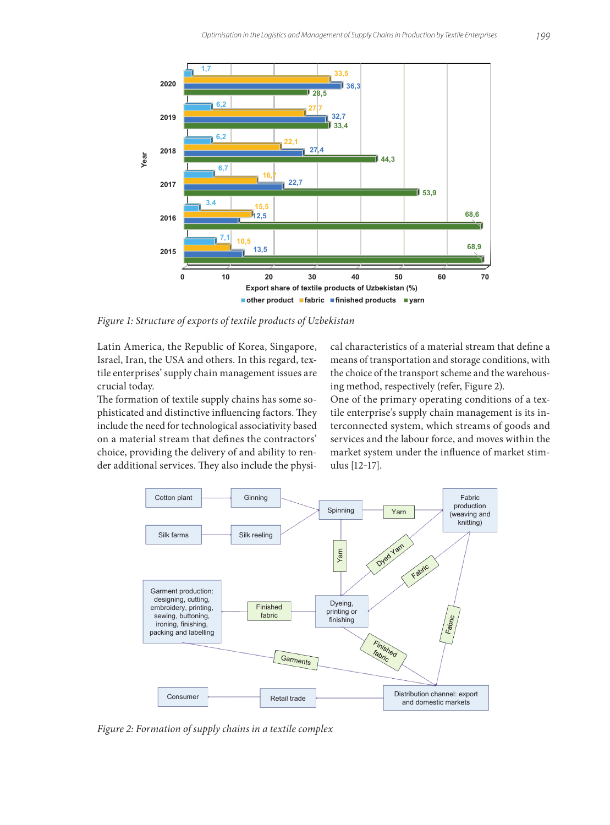

*Figure 1: Structure of exports of textile products of Uzbekistan*

Latin America, the Republic of Korea, Singapore, Israel, Iran, the USA and others. In this regard, textile enterprises' supply chain management issues are crucial today.

The formation of textile supply chains has some sophisticated and distinctive influencing factors. They include the need for technological associativity based on a material stream that defines the contractors' choice, providing the delivery of and ability to render additional services. They also include the physical characteristics of a material stream that define a means of transportation and storage conditions, with the choice of the transport scheme and the warehousing method, respectively (refer, Figure 2).

One of the primary operating conditions of a textile enterprise's supply chain management is its interconnected system, which streams of goods and services and the labour force, and moves within the market system under the influence of market stimulus [12‒17].



*Figure 2: Formation of supply chains in a textile complex*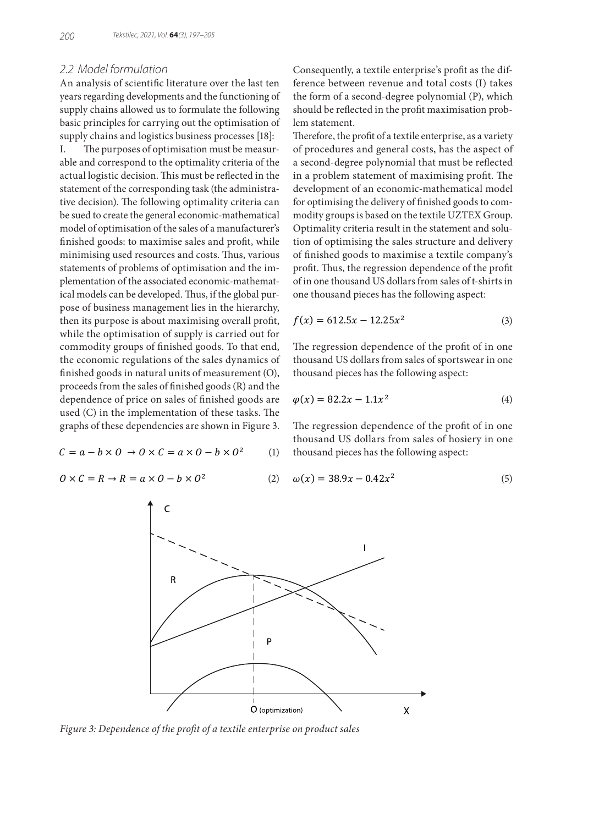#### *2.2 Model formulation*

An analysis of scientific literature over the last ten years regarding developments and the functioning of supply chains allowed us to formulate the following basic principles for carrying out the optimisation of supply chains and logistics business processes [18]:

I. The purposes of optimisation must be measurable and correspond to the optimality criteria of the actual logistic decision. This must be reflected in the statement of the corresponding task (the administrative decision). The following optimality criteria can be sued to create the general economic-mathematical model of optimisation of the sales of a manufacturer's finished goods: to maximise sales and profit, while minimising used resources and costs. Thus, various statements of problems of optimisation and the implementation of the associated economic-mathematical models can be developed. Thus, if the global purpose of business management lies in the hierarchy, then its purpose is about maximising overall profit, while the optimisation of supply is carried out for commodity groups of finished goods. To that end, the economic regulations of the sales dynamics of finished goods in natural units of measurement (O), proceeds from the sales of finished goods (R) and the dependence of price on sales of finished goods are used (C) in the implementation of these tasks. The graphs of these dependencies are shown in Figure 3.

$$
C = a - b \times 0 \to 0 \times C = a \times 0 - b \times 0^2 \tag{1}
$$

$$
0 \times C = R \to R = a \times 0 - b \times 0^2 \tag{2}
$$

Consequently, a textile enterprise's profit as the difference between revenue and total costs (I) takes the form of a second-degree polynomial (P), which should be reflected in the profit maximisation problem statement.

Therefore, the profit of a textile enterprise, as a variety of procedures and general costs, has the aspect of a second-degree polynomial that must be reflected in a problem statement of maximising profit. The development of an economic-mathematical model for optimising the delivery of finished goods to commodity groups is based on the textile UZTEX Group. Optimality criteria result in the statement and solution of optimising the sales structure and delivery of finished goods to maximise a textile company's profit. Thus, the regression dependence of the profit of in one thousand US dollars from sales of t-shirts in one thousand pieces has the following aspect:

$$
f(x) = 612.5x - 12.25x^2 \tag{3}
$$

The regression dependence of the profit of in one thousand US dollars from sales of sportswear in one thousand pieces has the following aspect:

$$
\varphi(x) = 82.2x - 1.1x^2 \tag{4}
$$

The regression dependence of the profit of in one thousand US dollars from sales of hosiery in one thousand pieces has the following aspect:

$$
\omega(x) = 38.9x - 0.42x^2 \tag{5}
$$



*Figure 3: Dependence of the profit of a textile enterprise on product sales*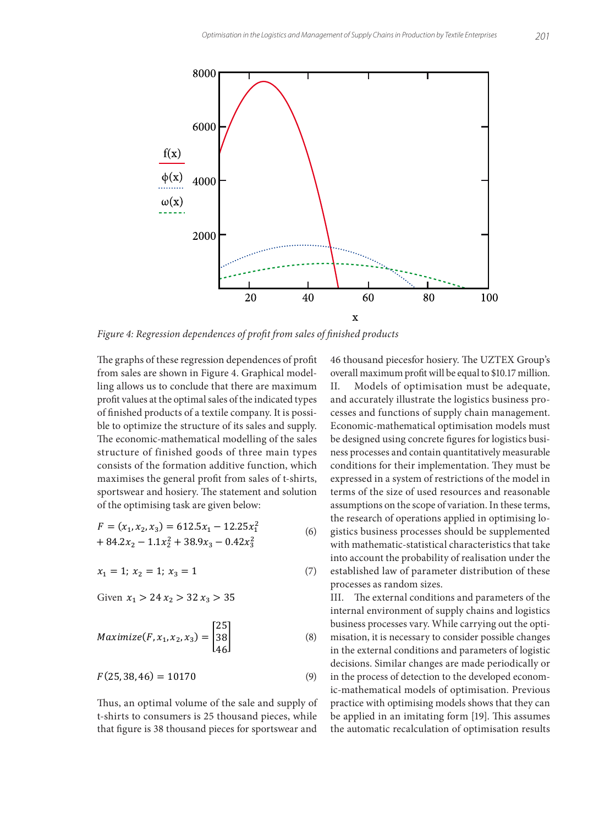

*Figure 4: Regression dependences of profit from sales of finished products*

The graphs of these regression dependences of profit from sales are shown in Figure 4. Graphical modelling allows us to conclude that there are maximum profit values at the optimal sales of the indicated types of finished products of a textile company. It is possible to optimize the structure of its sales and supply. The economic-mathematical modelling of the sales structure of finished goods of three main types consists of the formation additive function, which maximises the general profit from sales of t-shirts, sportswear and hosiery. The statement and solution of the optimising task are given below:

$$
F = (x_1, x_2, x_3) = 612.5x_1 - 12.25x_1^2
$$
  
+ 84.2x<sub>2</sub> - 1.1x<sub>2</sub><sup>2</sup> + 38.9x<sub>3</sub> - 0.42x<sub>3</sub><sup>2</sup> (6) g

 $x_1 = 1; x_2 = 1; x_3 = 1$  (7)

Given  $x_1 > 24$   $x_2 > 32$   $x_3 > 35$ 

$$
Maximize(F, x_1, x_2, x_3) = \begin{bmatrix} 25 \\ 38 \\ 46 \end{bmatrix}
$$
 (8)

$$
F(25, 38, 46) = 10170 \tag{9}
$$

Thus, an optimal volume of the sale and supply of t-shirts to consumers is 25 thousand pieces, while that figure is 38 thousand pieces for sportswear and

The second of producing operation of producing to supplemented the research of operations applied in optimising lo-46 thousand piecesfor hosiery. The UZTEX Group's overall maximum profit will be equal to \$10.17 million. II. Models of optimisation must be adequate, and accurately illustrate the logistics business processes and functions of supply chain management. Economic-mathematical optimisation models must be designed using concrete figures for logistics business processes and contain quantitatively measurable conditions for their implementation. They must be expressed in a system of restrictions of the model in terms of the size of used resources and reasonable assumptions on the scope of variation. In these terms, with mathematic-statistical characteristics that take into account the probability of realisation under the established law of parameter distribution of these processes as random sizes.

III. The external conditions and parameters of the internal environment of supply chains and logistics business processes vary. While carrying out the optimisation, it is necessary to consider possible changes in the external conditions and parameters of logistic decisions. Similar changes are made periodically or in the process of detection to the developed economic-mathematical models of optimisation. Previous practice with optimising models shows that they can be applied in an imitating form [19]. This assumes the automatic recalculation of optimisation results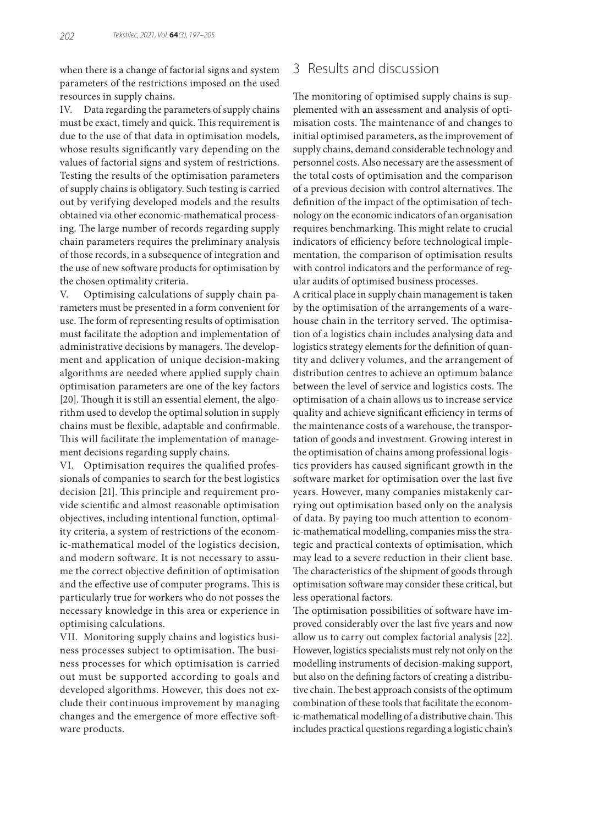when there is a change of factorial signs and system parameters of the restrictions imposed on the used resources in supply chains.

IV. Data regarding the parameters of supply chains must be exact, timely and quick. This requirement is due to the use of that data in optimisation models, whose results significantly vary depending on the values of factorial signs and system of restrictions. Testing the results of the optimisation parameters of supply chains is obligatory. Such testing is carried out by verifying developed models and the results obtained via other economic-mathematical processing. The large number of records regarding supply chain parameters requires the preliminary analysis of those records, in a subsequence of integration and the use of new software products for optimisation by the chosen optimality criteria.

V. Optimising calculations of supply chain parameters must be presented in a form convenient for use. The form of representing results of optimisation must facilitate the adoption and implementation of administrative decisions by managers. The development and application of unique decision-making algorithms are needed where applied supply chain optimisation parameters are one of the key factors [20]. Though it is still an essential element, the algorithm used to develop the optimal solution in supply chains must be flexible, adaptable and confirmable. This will facilitate the implementation of management decisions regarding supply chains.

VI. Optimisation requires the qualified professionals of companies to search for the best logistics decision [21]. This principle and requirement provide scientific and almost reasonable optimisation objectives, including intentional function, optimality criteria, a system of restrictions of the economic-mathematical model of the logistics decision, and modern software. It is not necessary to assume the correct objective definition of optimisation and the effective use of computer programs. This is particularly true for workers who do not posses the necessary knowledge in this area or experience in optimising calculations.

VII. Monitoring supply chains and logistics business processes subject to optimisation. The business processes for which optimisation is carried out must be supported according to goals and developed algorithms. However, this does not exclude their continuous improvement by managing changes and the emergence of more effective software products.

## 3 Results and discussion

The monitoring of optimised supply chains is supplemented with an assessment and analysis of optimisation costs. The maintenance of and changes to initial optimised parameters, as the improvement of supply chains, demand considerable technology and personnel costs. Also necessary are the assessment of the total costs of optimisation and the comparison of a previous decision with control alternatives. The definition of the impact of the optimisation of technology on the economic indicators of an organisation requires benchmarking. This might relate to crucial indicators of efficiency before technological implementation, the comparison of optimisation results with control indicators and the performance of regular audits of optimised business processes.

A critical place in supply chain management is taken by the optimisation of the arrangements of a warehouse chain in the territory served. The optimisation of a logistics chain includes analysing data and logistics strategy elements for the definition of quantity and delivery volumes, and the arrangement of distribution centres to achieve an optimum balance between the level of service and logistics costs. The optimisation of a chain allows us to increase service quality and achieve significant efficiency in terms of the maintenance costs of a warehouse, the transportation of goods and investment. Growing interest in the optimisation of chains among professional logistics providers has caused significant growth in the software market for optimisation over the last five years. However, many companies mistakenly carrying out optimisation based only on the analysis of data. By paying too much attention to economic-mathematical modelling, companies miss the strategic and practical contexts of optimisation, which may lead to a severe reduction in their client base. The characteristics of the shipment of goods through optimisation software may consider these critical, but less operational factors.

The optimisation possibilities of software have improved considerably over the last five years and now allow us to carry out complex factorial analysis [22]. However, logistics specialists must rely not only on the modelling instruments of decision-making support, but also on the defining factors of creating a distributive chain. The best approach consists of the optimum combination of these tools that facilitate the economic-mathematical modelling of a distributive chain. This includes practical questions regarding a logistic chain's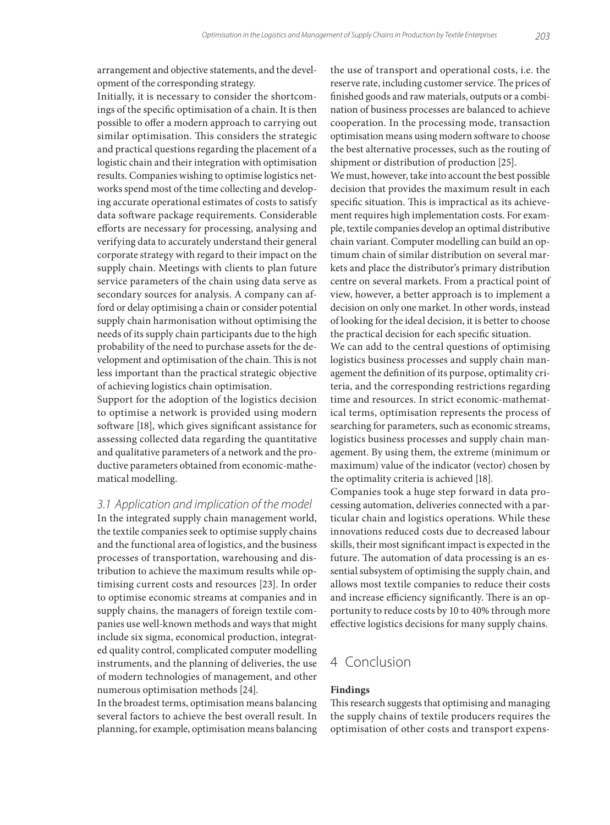arrangement and objective statements, and the development of the corresponding strategy.

Initially, it is necessary to consider the shortcomings of the specific optimisation of a chain. It is then possible to offer a modern approach to carrying out similar optimisation. This considers the strategic and practical questions regarding the placement of a logistic chain and their integration with optimisation results. Companies wishing to optimise logistics networks spend most of the time collecting and developing accurate operational estimates of costs to satisfy data software package requirements. Considerable efforts are necessary for processing, analysing and verifying data to accurately understand their general corporate strategy with regard to their impact on the supply chain. Meetings with clients to plan future service parameters of the chain using data serve as secondary sources for analysis. A company can afford or delay optimising a chain or consider potential supply chain harmonisation without optimising the needs of its supply chain participants due to the high probability of the need to purchase assets for the development and optimisation of the chain. This is not less important than the practical strategic objective of achieving logistics chain optimisation.

Support for the adoption of the logistics decision to optimise a network is provided using modern software [18], which gives significant assistance for assessing collected data regarding the quantitative and qualitative parameters of a network and the productive parameters obtained from economic-mathematical modelling.

*3.1 Application and implication of the model*

In the integrated supply chain management world, the textile companies seek to optimise supply chains and the functional area of logistics, and the business processes of transportation, warehousing and distribution to achieve the maximum results while optimising current costs and resources [23]. In order to optimise economic streams at companies and in supply chains, the managers of foreign textile companies use well-known methods and ways that might include six sigma, economical production, integrated quality control, complicated computer modelling instruments, and the planning of deliveries, the use of modern technologies of management, and other numerous optimisation methods [24].

In the broadest terms, optimisation means balancing several factors to achieve the best overall result. In planning, for example, optimisation means balancing the use of transport and operational costs, i.e. the reserve rate, including customer service. The prices of finished goods and raw materials, outputs or a combination of business processes are balanced to achieve cooperation. In the processing mode, transaction optimisation means using modern software to choose the best alternative processes, such as the routing of shipment or distribution of production [25].

We must, however, take into account the best possible decision that provides the maximum result in each specific situation. This is impractical as its achievement requires high implementation costs. For example, textile companies develop an optimal distributive chain variant. Computer modelling can build an optimum chain of similar distribution on several markets and place the distributor's primary distribution centre on several markets. From a practical point of view, however, a better approach is to implement a decision on only one market. In other words, instead of looking for the ideal decision, it is better to choose the practical decision for each specific situation.

We can add to the central questions of optimising logistics business processes and supply chain management the definition of its purpose, optimality criteria, and the corresponding restrictions regarding time and resources. In strict economic-mathematical terms, optimisation represents the process of searching for parameters, such as economic streams, logistics business processes and supply chain management. By using them, the extreme (minimum or maximum) value of the indicator (vector) chosen by the optimality criteria is achieved [18].

Companies took a huge step forward in data processing automation, deliveries connected with a particular chain and logistics operations. While these innovations reduced costs due to decreased labour skills, their most significant impact is expected in the future. The automation of data processing is an essential subsystem of optimising the supply chain, and allows most textile companies to reduce their costs and increase efficiency significantly. There is an opportunity to reduce costs by 10 to 40% through more effective logistics decisions for many supply chains.

## 4 Conclusion

#### **Findings**

This research suggests that optimising and managing the supply chains of textile producers requires the optimisation of other costs and transport expens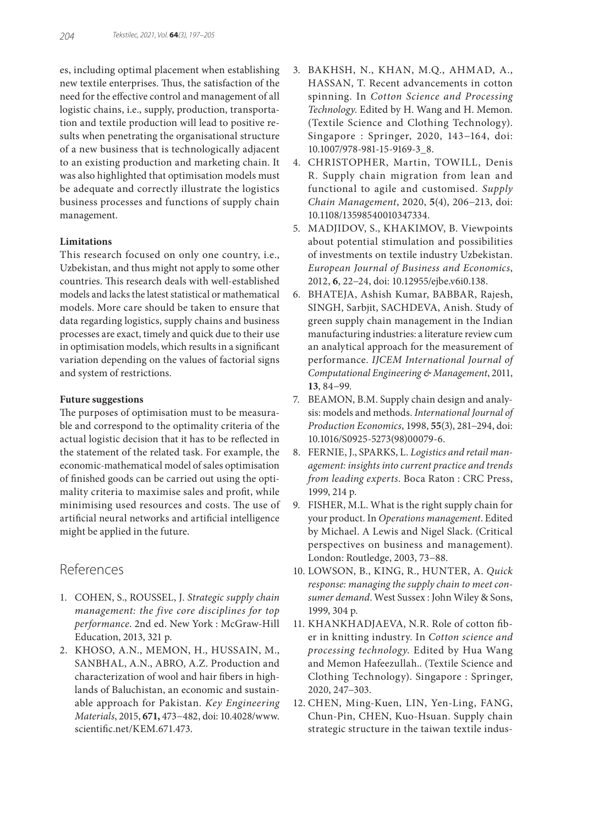es, including optimal placement when establishing new textile enterprises. Thus, the satisfaction of the need for the effective control and management of all logistic chains, i.e., supply, production, transportation and textile production will lead to positive results when penetrating the organisational structure of a new business that is technologically adjacent to an existing production and marketing chain. It was also highlighted that optimisation models must be adequate and correctly illustrate the logistics business processes and functions of supply chain management.

#### **Limitations**

This research focused on only one country, i.e., Uzbekistan, and thus might not apply to some other countries. This research deals with well-established models and lacks the latest statistical or mathematical models. More care should be taken to ensure that data regarding logistics, supply chains and business processes are exact, timely and quick due to their use in optimisation models, which results in a significant variation depending on the values of factorial signs and system of restrictions.

#### **Future suggestions**

The purposes of optimisation must to be measurable and correspond to the optimality criteria of the actual logistic decision that it has to be reflected in the statement of the related task. For example, the economic-mathematical model of sales optimisation of finished goods can be carried out using the optimality criteria to maximise sales and profit, while minimising used resources and costs. The use of artificial neural networks and artificial intelligence might be applied in the future.

## References

- 1. COHEN, S., ROUSSEL, J. *Strategic supply chain management: the five core disciplines for top performance*. 2nd ed. New York : McGraw-Hill Education, 2013, 321 p.
- 2. KHOSO, A.N., MEMON, H., HUSSAIN, M., SANBHAL, A.N., ABRO, A.Z. Production and characterization of wool and hair fibers in highlands of Baluchistan, an economic and sustainable approach for Pakistan. *Key Engineering Materials*, 2015, **671,** 473−482, doi: 10.4028/www. scientific.net/KEM.671.473.
- 3. BAKHSH, N., KHAN, M.Q., AHMAD, A., HASSAN, T. Recent advancements in cotton spinning. In *Cotton Science and Processing Technology*. Edited by H. Wang and H. Memon. (Textile Science and Clothing Technology). Singapore : Springer, 2020, 143−164, doi: 10.1007/978-981-15-9169-3\_8.
- 4. CHRISTOPHER, Martin, TOWILL, Denis R. Supply chain migration from lean and functional to agile and customised. *Supply Chain Management*, 2020, **5**(4), 206−213, doi: 10.1108/13598540010347334.
- 5. MADJIDOV, S., KHAKIMOV, B. Viewpoints about potential stimulation and possibilities of investments on textile industry Uzbekistan. *European Journal of Business and Economics*, 2012, **6**, 22−24, doi: 10.12955/ejbe.v6i0.138.
- 6. BHATEJA, Ashish Kumar, BABBAR, Rajesh, SINGH, Sarbjit, SACHDEVA, Anish. Study of green supply chain management in the Indian manufacturing industries: a literature review cum an analytical approach for the measurement of performance. *IJCEM International Journal of Computational Engineering & Management*, 2011, **13**, 84−99.
- 7. BEAMON, B.M. Supply chain design and analysis: models and methods. *International Journal of Production Economics*, 1998, **55**(3), 281−294, doi: 10.1016/S0925-5273(98)00079-6.
- 8. FERNIE, J., SPARKS, L. *Logistics and retail management: insights into current practice and trends from leading experts*. Boca Raton : CRC Press, 1999, 214 p.
- 9. FISHER, M.L. What is the right supply chain for your product. In *Operations management*. Edited by Michael. A Lewis and Nigel Slack. (Critical perspectives on business and management). London: Routledge, 2003, 73−88.
- 10. LOWSON, B., KING, R., HUNTER, A. *Quick response: managing the supply chain to meet consumer demand*. West Sussex : John Wiley & Sons, 1999, 304 p.
- 11. KHANKHADJAEVA, N.R. Role of cotton fiber in knitting industry. In *Cotton science and processing technology*. Edited by Hua Wang and Memon Hafeezullah.. (Textile Science and Clothing Technology). Singapore : Springer, 2020, 247−303.
- 12. CHEN, Ming-Kuen, LIN, Yen-Ling, FANG, Chun-Pin, CHEN, Kuo-Hsuan. Supply chain strategic structure in the taiwan textile indus-